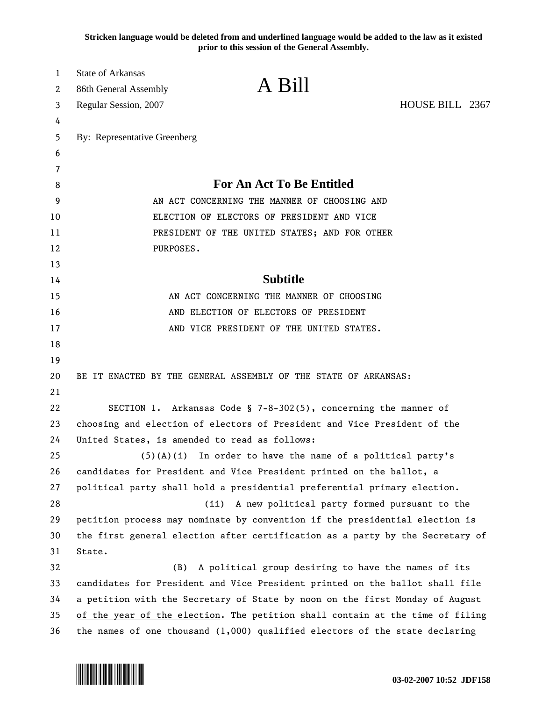**Stricken language would be deleted from and underlined language would be added to the law as it existed prior to this session of the General Assembly.**

| $\mathbf{1}$<br>2 | <b>State of Arkansas</b><br>86th General Assembly                                                                                                             | A Bill                                                                        |                 |
|-------------------|---------------------------------------------------------------------------------------------------------------------------------------------------------------|-------------------------------------------------------------------------------|-----------------|
| 3                 | Regular Session, 2007                                                                                                                                         |                                                                               | HOUSE BILL 2367 |
| 4                 |                                                                                                                                                               |                                                                               |                 |
| 5                 | By: Representative Greenberg                                                                                                                                  |                                                                               |                 |
| 6                 |                                                                                                                                                               |                                                                               |                 |
| 7                 |                                                                                                                                                               |                                                                               |                 |
| 8                 |                                                                                                                                                               | <b>For An Act To Be Entitled</b>                                              |                 |
| 9                 | AN ACT CONCERNING THE MANNER OF CHOOSING AND                                                                                                                  |                                                                               |                 |
| 10                | ELECTION OF ELECTORS OF PRESIDENT AND VICE                                                                                                                    |                                                                               |                 |
| 11                | PRESIDENT OF THE UNITED STATES; AND FOR OTHER                                                                                                                 |                                                                               |                 |
| 12                | PURPOSES.                                                                                                                                                     |                                                                               |                 |
| 13                |                                                                                                                                                               |                                                                               |                 |
| 14                |                                                                                                                                                               | <b>Subtitle</b>                                                               |                 |
| 15                |                                                                                                                                                               | AN ACT CONCERNING THE MANNER OF CHOOSING                                      |                 |
| 16                |                                                                                                                                                               | AND ELECTION OF ELECTORS OF PRESIDENT                                         |                 |
| 17                |                                                                                                                                                               | AND VICE PRESIDENT OF THE UNITED STATES.                                      |                 |
| 18                |                                                                                                                                                               |                                                                               |                 |
| 19                |                                                                                                                                                               |                                                                               |                 |
| 20                |                                                                                                                                                               | BE IT ENACTED BY THE GENERAL ASSEMBLY OF THE STATE OF ARKANSAS:               |                 |
| 21                |                                                                                                                                                               |                                                                               |                 |
| 22                |                                                                                                                                                               | SECTION 1. Arkansas Code § 7-8-302(5), concerning the manner of               |                 |
| 23                | choosing and election of electors of President and Vice President of the                                                                                      |                                                                               |                 |
| 24                |                                                                                                                                                               | United States, is amended to read as follows:                                 |                 |
| 25                |                                                                                                                                                               | $(5)(A)(i)$ In order to have the name of a political party's                  |                 |
| 26                |                                                                                                                                                               | candidates for President and Vice President printed on the ballot, a          |                 |
| 27                |                                                                                                                                                               | political party shall hold a presidential preferential primary election.      |                 |
| 28                |                                                                                                                                                               | A new political party formed pursuant to the<br>(ii)                          |                 |
| 29                |                                                                                                                                                               | petition process may nominate by convention if the presidential election is   |                 |
| 30                |                                                                                                                                                               | the first general election after certification as a party by the Secretary of |                 |
| 31                | State.                                                                                                                                                        |                                                                               |                 |
| 32                | (B)                                                                                                                                                           | A political group desiring to have the names of its                           |                 |
| 33<br>34          |                                                                                                                                                               | candidates for President and Vice President printed on the ballot shall file  |                 |
| 35                | a petition with the Secretary of State by noon on the first Monday of August<br>of the year of the election. The petition shall contain at the time of filing |                                                                               |                 |
| 36                |                                                                                                                                                               | the names of one thousand $(1,000)$ qualified electors of the state declaring |                 |
|                   |                                                                                                                                                               |                                                                               |                 |

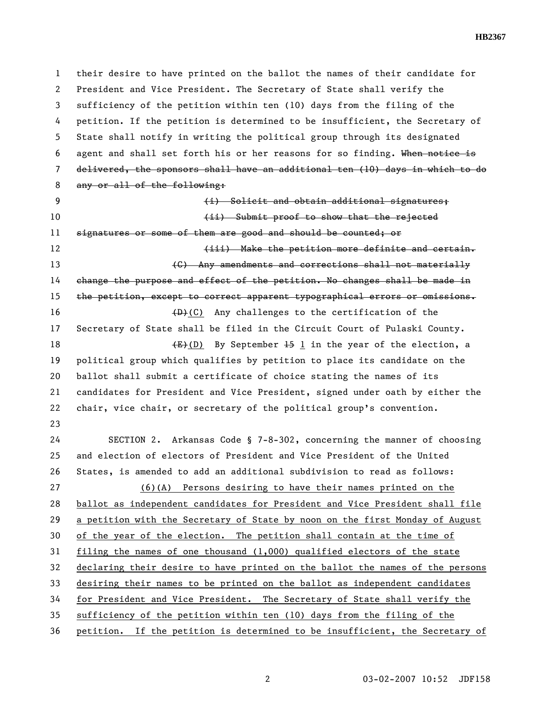**HB2367** 

1 their desire to have printed on the ballot the names of their candidate for 2 President and Vice President. The Secretary of State shall verify the 3 sufficiency of the petition within ten (10) days from the filing of the 4 petition. If the petition is determined to be insufficient, the Secretary of 5 State shall notify in writing the political group through its designated 6 agent and shall set forth his or her reasons for so finding. When notice is 7 delivered, the sponsors shall have an additional ten (10) days in which to do 8 any or all of the following: 9 (i) Solicit and obtain additional signatures; 10 (ii) Submit proof to show that the rejected 11 signatures or some of them are good and should be counted; or 12 **(iii)** Make the petition more definite and certain. 13 **13 Example 2018 CO** Any amendments and corrections shall not materially 14 change the purpose and effect of the petition. No changes shall be made in 15 the petition, except to correct apparent typographical errors or omissions. 16 (D)(C) Any challenges to the certification of the 17 Secretary of State shall be filed in the Circuit Court of Pulaski County. 18  $(E+(D)$  By September 15 1 in the year of the election, a 19 political group which qualifies by petition to place its candidate on the 20 ballot shall submit a certificate of choice stating the names of its 21 candidates for President and Vice President, signed under oath by either the 22 chair, vice chair, or secretary of the political group's convention. 23 24 SECTION 2. Arkansas Code § 7-8-302, concerning the manner of choosing 25 and election of electors of President and Vice President of the United 26 States, is amended to add an additional subdivision to read as follows: 27 (6)(A) Persons desiring to have their names printed on the 28 ballot as independent candidates for President and Vice President shall file 29 a petition with the Secretary of State by noon on the first Monday of August 30 of the year of the election. The petition shall contain at the time of 31 filing the names of one thousand (1,000) qualified electors of the state 32 declaring their desire to have printed on the ballot the names of the persons 33 desiring their names to be printed on the ballot as independent candidates 34 for President and Vice President. The Secretary of State shall verify the 35 sufficiency of the petition within ten (10) days from the filing of the 36 petition. If the petition is determined to be insufficient, the Secretary of